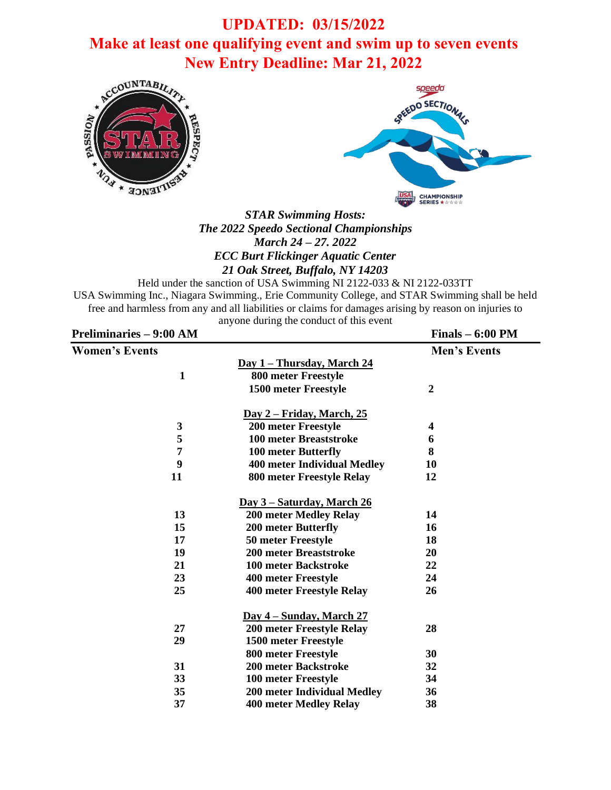# **UPDATED: 03/15/2022 Make at least one qualifying event and swim up to seven events New Entry Deadline: Mar 21, 2022**





*STAR Swimming Hosts: The 2022 Speedo Sectional Championships March 24 – 27. 2022 ECC Burt Flickinger Aquatic Center 21 Oak Street, Buffalo, NY 14203*

Held under the sanction of USA Swimming NI 2122-033 & NI 2122-033TT USA Swimming Inc., Niagara Swimming., Erie Community College, and STAR Swimming shall be held free and harmless from any and all liabilities or claims for damages arising by reason on injuries to anyone during the conduct of this event

| <b>Preliminaries - 9:00 AM</b> |                                    | $Finals - 6:00 PM$  |
|--------------------------------|------------------------------------|---------------------|
| <b>Women's Events</b>          |                                    | <b>Men's Events</b> |
|                                | <u>Day 1 – Thursday, March 24</u>  |                     |
| $\mathbf{1}$                   | 800 meter Freestyle                |                     |
|                                | 1500 meter Freestyle               | $\overline{2}$      |
|                                | <u>Day 2 – Friday, March, 25</u>   |                     |
| $\mathbf{3}$                   | <b>200 meter Freestyle</b>         | 4                   |
| 5                              | <b>100 meter Breaststroke</b>      | 6                   |
| 7                              | 100 meter Butterfly                | 8                   |
| 9                              | <b>400 meter Individual Medley</b> | 10                  |
| 11                             | 800 meter Freestyle Relay          | 12                  |
|                                | Day 3 – Saturday, March 26         |                     |
| 13                             | <b>200 meter Medley Relay</b>      | 14                  |
| 15                             | <b>200 meter Butterfly</b>         | 16                  |
| 17                             | 50 meter Freestyle                 | 18                  |
| 19                             | <b>200 meter Breaststroke</b>      | 20                  |
| 21                             | <b>100 meter Backstroke</b>        | 22                  |
| 23                             | 400 meter Freestyle                | 24                  |
| 25                             | 400 meter Freestyle Relay          | 26                  |
|                                | <u>Day 4 – Sunday, March 27</u>    |                     |
| 27                             | 200 meter Freestyle Relay          | 28                  |
| 29                             | 1500 meter Freestyle               |                     |
|                                | 800 meter Freestyle                | 30                  |
| 31                             | 200 meter Backstroke               | 32                  |
| 33                             | 100 meter Freestyle                | 34                  |
| 35                             | 200 meter Individual Medley        | 36                  |
| 37                             | <b>400 meter Medley Relay</b>      | 38                  |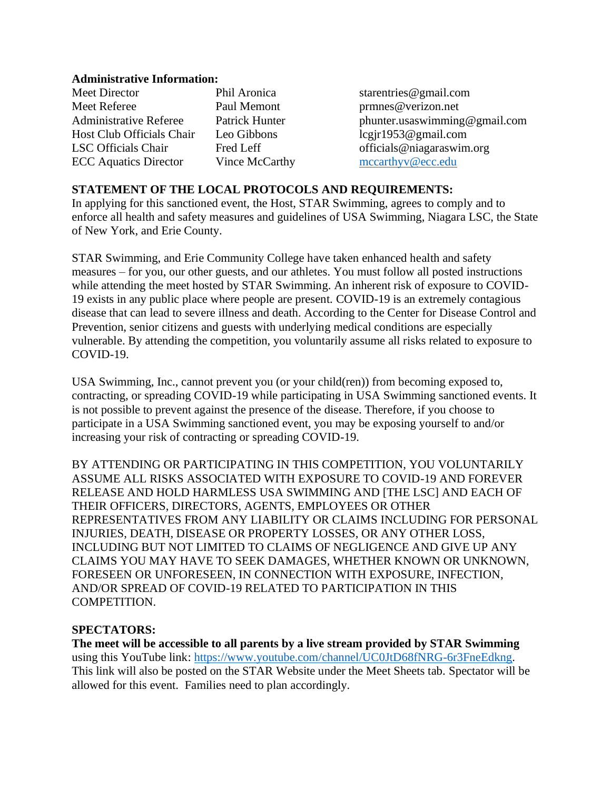#### **Administrative Information:**

| Meet Director                 | Phil Aronica |
|-------------------------------|--------------|
| <b>Meet Referee</b>           | Paul Memor   |
| <b>Administrative Referee</b> | Patrick Hun  |
| Host Club Officials Chair     | Leo Gibbon   |
| <b>LSC</b> Officials Chair    | Fred Leff    |
| <b>ECC</b> Aquatics Director  | Vince McC    |

a starentries@gmail.com nt prmnes@verizon.net ter bhunter usaswimming@gmail.com  $legir1953@gmail.com$ officials@niagaraswim.org  $arthy$  [mccarthyv@ecc.edu](mailto:mccarthyv@ecc.edu)

# **STATEMENT OF THE LOCAL PROTOCOLS AND REQUIREMENTS:**

In applying for this sanctioned event, the Host, STAR Swimming, agrees to comply and to enforce all health and safety measures and guidelines of USA Swimming, Niagara LSC, the State of New York, and Erie County.

STAR Swimming, and Erie Community College have taken enhanced health and safety measures – for you, our other guests, and our athletes. You must follow all posted instructions while attending the meet hosted by STAR Swimming. An inherent risk of exposure to COVID-19 exists in any public place where people are present. COVID-19 is an extremely contagious disease that can lead to severe illness and death. According to the Center for Disease Control and Prevention, senior citizens and guests with underlying medical conditions are especially vulnerable. By attending the competition, you voluntarily assume all risks related to exposure to COVID-19.

USA Swimming, Inc., cannot prevent you (or your child(ren)) from becoming exposed to, contracting, or spreading COVID-19 while participating in USA Swimming sanctioned events. It is not possible to prevent against the presence of the disease. Therefore, if you choose to participate in a USA Swimming sanctioned event, you may be exposing yourself to and/or increasing your risk of contracting or spreading COVID-19.

BY ATTENDING OR PARTICIPATING IN THIS COMPETITION, YOU VOLUNTARILY ASSUME ALL RISKS ASSOCIATED WITH EXPOSURE TO COVID-19 AND FOREVER RELEASE AND HOLD HARMLESS USA SWIMMING AND [THE LSC] AND EACH OF THEIR OFFICERS, DIRECTORS, AGENTS, EMPLOYEES OR OTHER REPRESENTATIVES FROM ANY LIABILITY OR CLAIMS INCLUDING FOR PERSONAL INJURIES, DEATH, DISEASE OR PROPERTY LOSSES, OR ANY OTHER LOSS, INCLUDING BUT NOT LIMITED TO CLAIMS OF NEGLIGENCE AND GIVE UP ANY CLAIMS YOU MAY HAVE TO SEEK DAMAGES, WHETHER KNOWN OR UNKNOWN, FORESEEN OR UNFORESEEN, IN CONNECTION WITH EXPOSURE, INFECTION, AND/OR SPREAD OF COVID-19 RELATED TO PARTICIPATION IN THIS COMPETITION.

### **SPECTATORS:**

**The meet will be accessible to all parents by a live stream provided by STAR Swimming** using this YouTube link: [https://www.youtube.com/channel/UC0JtD68fNRG-6r3FneEdkng.](https://www.youtube.com/channel/UC0JtD68fNRG-6r3FneEdkng) This link will also be posted on the STAR Website under the Meet Sheets tab. Spectator will be allowed for this event. Families need to plan accordingly.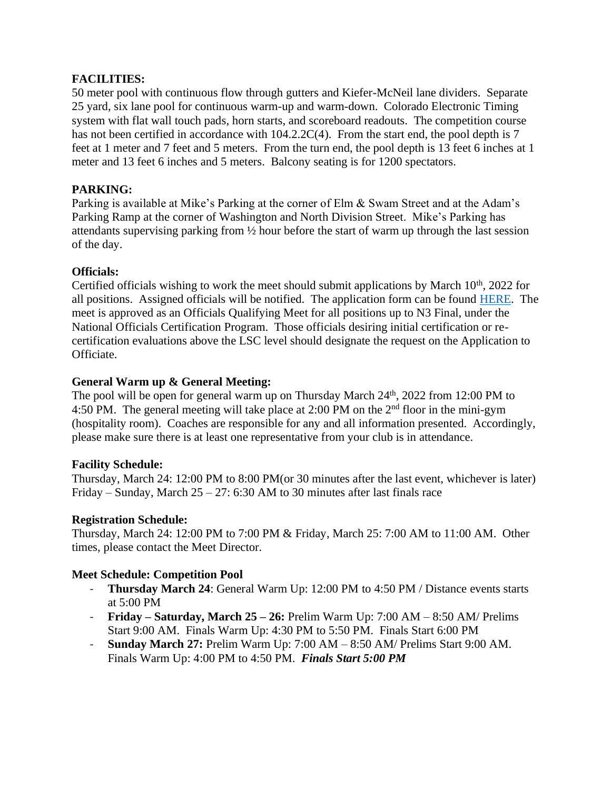# **FACILITIES:**

50 meter pool with continuous flow through gutters and Kiefer-McNeil lane dividers. Separate 25 yard, six lane pool for continuous warm-up and warm-down. Colorado Electronic Timing system with flat wall touch pads, horn starts, and scoreboard readouts. The competition course has not been certified in accordance with  $104.2.2C(4)$ . From the start end, the pool depth is 7 feet at 1 meter and 7 feet and 5 meters. From the turn end, the pool depth is 13 feet 6 inches at 1 meter and 13 feet 6 inches and 5 meters. Balcony seating is for 1200 spectators.

# **PARKING:**

Parking is available at Mike's Parking at the corner of Elm & Swam Street and at the Adam's Parking Ramp at the corner of Washington and North Division Street. Mike's Parking has attendants supervising parking from ½ hour before the start of warm up through the last session of the day.

### **Officials:**

Certified officials wishing to work the meet should submit applications by March 10<sup>th</sup>, 2022 for all positions. Assigned officials will be notified. The application form can be found [HERE.](https://docs.google.com/forms/d/e/1FAIpQLScm3uZN5ovL6EhpEplUKHGbBhjLMV8MKTn9wrEK54RmtpaJPw/viewform?usp=pp_url) The meet is approved as an Officials Qualifying Meet for all positions up to N3 Final, under the National Officials Certification Program. Those officials desiring initial certification or recertification evaluations above the LSC level should designate the request on the Application to Officiate.

# **General Warm up & General Meeting:**

The pool will be open for general warm up on Thursday March 24<sup>th</sup>, 2022 from 12:00 PM to 4:50 PM. The general meeting will take place at 2:00 PM on the 2nd floor in the mini-gym (hospitality room). Coaches are responsible for any and all information presented. Accordingly, please make sure there is at least one representative from your club is in attendance.

### **Facility Schedule:**

Thursday, March 24: 12:00 PM to 8:00 PM(or 30 minutes after the last event, whichever is later) Friday – Sunday, March  $25 - 27$ : 6:30 AM to 30 minutes after last finals race

### **Registration Schedule:**

Thursday, March 24: 12:00 PM to 7:00 PM & Friday, March 25: 7:00 AM to 11:00 AM. Other times, please contact the Meet Director.

### **Meet Schedule: Competition Pool**

- **Thursday March 24**: General Warm Up: 12:00 PM to 4:50 PM / Distance events starts at 5:00 PM
- **Friday – Saturday, March 25 – 26:** Prelim Warm Up: 7:00 AM 8:50 AM/ Prelims Start 9:00 AM. Finals Warm Up: 4:30 PM to 5:50 PM. Finals Start 6:00 PM
- **Sunday March 27:** Prelim Warm Up: 7:00 AM 8:50 AM/ Prelims Start 9:00 AM. Finals Warm Up: 4:00 PM to 4:50 PM. *Finals Start 5:00 PM*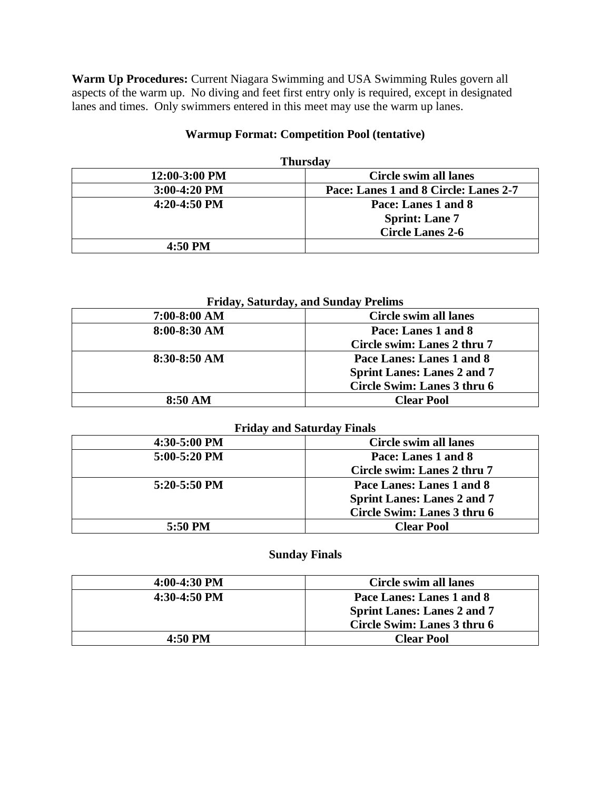**Warm Up Procedures:** Current Niagara Swimming and USA Swimming Rules govern all aspects of the warm up. No diving and feet first entry only is required, except in designated lanes and times. Only swimmers entered in this meet may use the warm up lanes.

# **Warmup Format: Competition Pool (tentative)**

| <b>Thursday</b> |                                       |  |  |  |  |  |
|-----------------|---------------------------------------|--|--|--|--|--|
| 12:00-3:00 PM   | <b>Circle swim all lanes</b>          |  |  |  |  |  |
| $3:00-4:20$ PM  | Pace: Lanes 1 and 8 Circle: Lanes 2-7 |  |  |  |  |  |
| $4:20-4:50$ PM  | Pace: Lanes 1 and 8                   |  |  |  |  |  |
|                 | <b>Sprint: Lane 7</b>                 |  |  |  |  |  |
|                 | <b>Circle Lanes 2-6</b>               |  |  |  |  |  |
| 4:50 PM         |                                       |  |  |  |  |  |

### **Friday, Saturday, and Sunday Prelims**

| Circle swim all lanes              |
|------------------------------------|
| Pace: Lanes 1 and 8                |
| Circle swim: Lanes 2 thru 7        |
| Pace Lanes: Lanes 1 and 8          |
| <b>Sprint Lanes: Lanes 2 and 7</b> |
| Circle Swim: Lanes 3 thru 6        |
| <b>Clear Pool</b>                  |
|                                    |

#### **Friday and Saturday Finals**

| 4:30-5:00 PM   | Circle swim all lanes              |
|----------------|------------------------------------|
| $5:00-5:20$ PM | Pace: Lanes 1 and 8                |
|                | Circle swim: Lanes 2 thru 7        |
| $5:20-5:50$ PM | Pace Lanes: Lanes 1 and 8          |
|                | <b>Sprint Lanes: Lanes 2 and 7</b> |
|                | Circle Swim: Lanes 3 thru 6        |
| 5:50 PM        | <b>Clear Pool</b>                  |

### **Sunday Finals**

| $4:00-4:30$ PM | Circle swim all lanes              |
|----------------|------------------------------------|
| $4:30-4:50$ PM | Pace Lanes: Lanes 1 and 8          |
|                | <b>Sprint Lanes: Lanes 2 and 7</b> |
|                | Circle Swim: Lanes 3 thru 6        |
| 4:50 PM        | <b>Clear Pool</b>                  |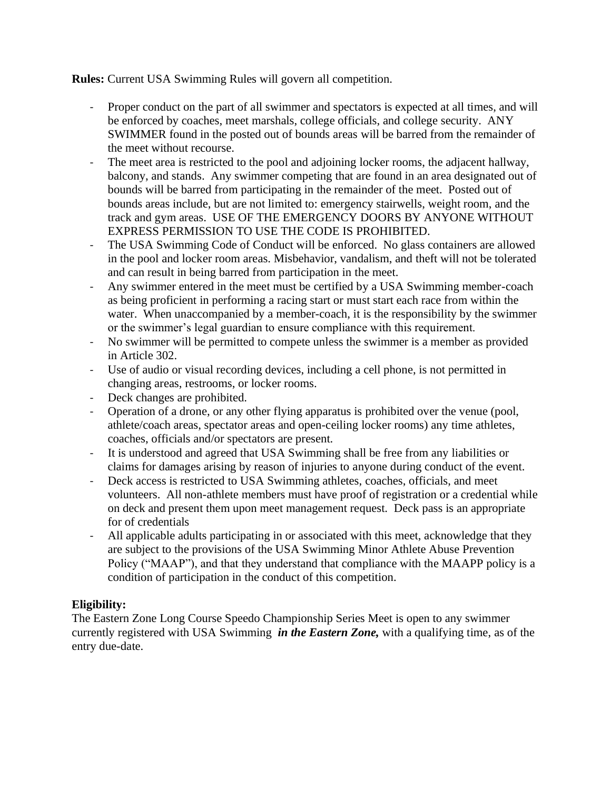**Rules:** Current USA Swimming Rules will govern all competition.

- Proper conduct on the part of all swimmer and spectators is expected at all times, and will be enforced by coaches, meet marshals, college officials, and college security. ANY SWIMMER found in the posted out of bounds areas will be barred from the remainder of the meet without recourse.
- The meet area is restricted to the pool and adjoining locker rooms, the adjacent hallway, balcony, and stands. Any swimmer competing that are found in an area designated out of bounds will be barred from participating in the remainder of the meet. Posted out of bounds areas include, but are not limited to: emergency stairwells, weight room, and the track and gym areas. USE OF THE EMERGENCY DOORS BY ANYONE WITHOUT EXPRESS PERMISSION TO USE THE CODE IS PROHIBITED.
- The USA Swimming Code of Conduct will be enforced. No glass containers are allowed in the pool and locker room areas. Misbehavior, vandalism, and theft will not be tolerated and can result in being barred from participation in the meet.
- Any swimmer entered in the meet must be certified by a USA Swimming member-coach as being proficient in performing a racing start or must start each race from within the water. When unaccompanied by a member-coach, it is the responsibility by the swimmer or the swimmer's legal guardian to ensure compliance with this requirement.
- No swimmer will be permitted to compete unless the swimmer is a member as provided in Article 302.
- Use of audio or visual recording devices, including a cell phone, is not permitted in changing areas, restrooms, or locker rooms.
- Deck changes are prohibited.
- Operation of a drone, or any other flying apparatus is prohibited over the venue (pool, athlete/coach areas, spectator areas and open-ceiling locker rooms) any time athletes, coaches, officials and/or spectators are present.
- It is understood and agreed that USA Swimming shall be free from any liabilities or claims for damages arising by reason of injuries to anyone during conduct of the event.
- Deck access is restricted to USA Swimming athletes, coaches, officials, and meet volunteers. All non-athlete members must have proof of registration or a credential while on deck and present them upon meet management request. Deck pass is an appropriate for of credentials
- All applicable adults participating in or associated with this meet, acknowledge that they are subject to the provisions of the USA Swimming Minor Athlete Abuse Prevention Policy ("MAAP"), and that they understand that compliance with the MAAPP policy is a condition of participation in the conduct of this competition.

# **Eligibility:**

The Eastern Zone Long Course Speedo Championship Series Meet is open to any swimmer currently registered with USA Swimming *in the Eastern Zone,* with a qualifying time, as of the entry due-date.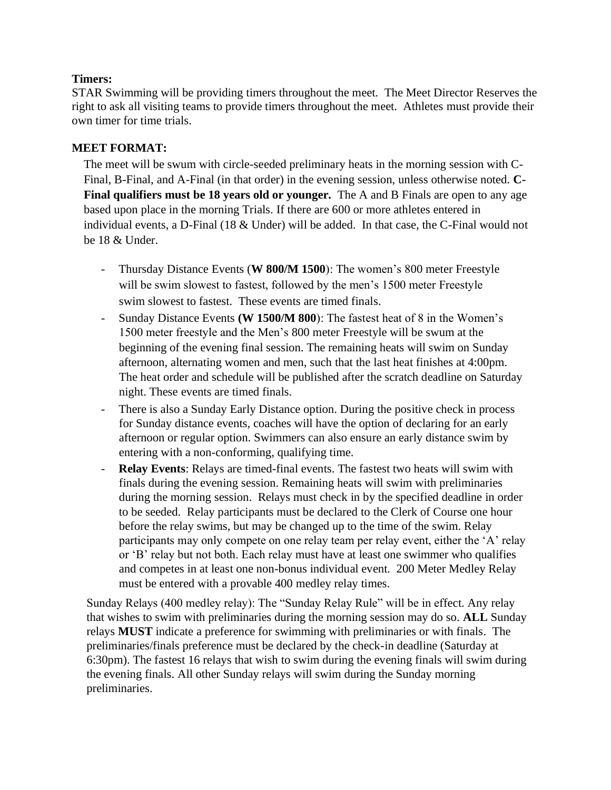# **Timers:**

STAR Swimming will be providing timers throughout the meet. The Meet Director Reserves the right to ask all visiting teams to provide timers throughout the meet. Athletes must provide their own timer for time trials.

# **MEET FORMAT:**

The meet will be swum with circle-seeded preliminary heats in the morning session with C-Final, B-Final, and A-Final (in that order) in the evening session, unless otherwise noted. **C-Final qualifiers must be 18 years old or younger.** The A and B Finals are open to any age based upon place in the morning Trials. If there are 600 or more athletes entered in individual events, a D-Final (18 & Under) will be added. In that case, the C-Final would not be 18 & Under.

- Thursday Distance Events (**W 800/M 1500**): The women's 800 meter Freestyle will be swim slowest to fastest, followed by the men's 1500 meter Freestyle swim slowest to fastest. These events are timed finals.
- Sunday Distance Events **(W 1500/M 800**): The fastest heat of 8 in the Women's 1500 meter freestyle and the Men's 800 meter Freestyle will be swum at the beginning of the evening final session. The remaining heats will swim on Sunday afternoon, alternating women and men, such that the last heat finishes at 4:00pm. The heat order and schedule will be published after the scratch deadline on Saturday night. These events are timed finals.
- There is also a Sunday Early Distance option. During the positive check in process for Sunday distance events, coaches will have the option of declaring for an early afternoon or regular option. Swimmers can also ensure an early distance swim by entering with a non-conforming, qualifying time.
- **Relay Events**: Relays are timed-final events. The fastest two heats will swim with finals during the evening session. Remaining heats will swim with preliminaries during the morning session. Relays must check in by the specified deadline in order to be seeded. Relay participants must be declared to the Clerk of Course one hour before the relay swims, but may be changed up to the time of the swim. Relay participants may only compete on one relay team per relay event, either the 'A' relay or 'B' relay but not both. Each relay must have at least one swimmer who qualifies and competes in at least one non-bonus individual event. 200 Meter Medley Relay must be entered with a provable 400 medley relay times.

Sunday Relays (400 medley relay): The "Sunday Relay Rule" will be in effect. Any relay that wishes to swim with preliminaries during the morning session may do so. **ALL** Sunday relays **MUST** indicate a preference for swimming with preliminaries or with finals. The preliminaries/finals preference must be declared by the check-in deadline (Saturday at 6:30pm). The fastest 16 relays that wish to swim during the evening finals will swim during the evening finals. All other Sunday relays will swim during the Sunday morning preliminaries.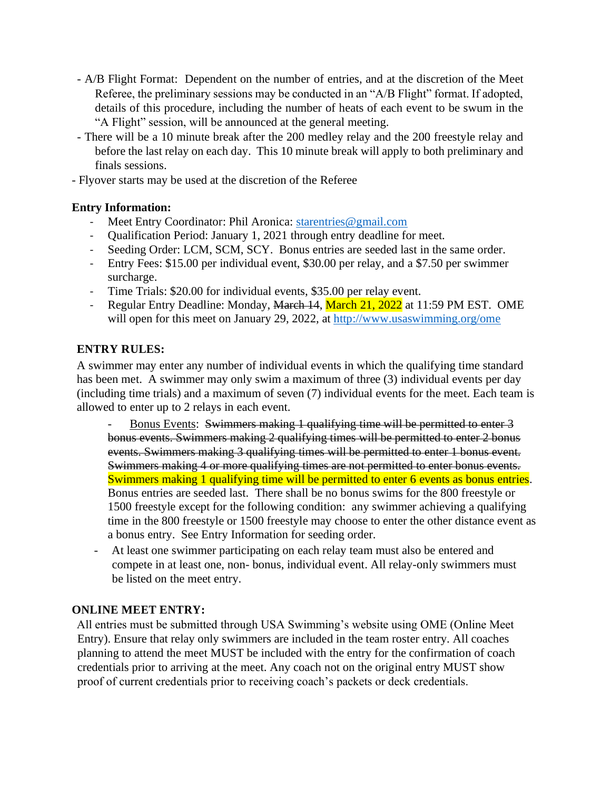- A/B Flight Format: Dependent on the number of entries, and at the discretion of the Meet Referee, the preliminary sessions may be conducted in an "A/B Flight" format. If adopted, details of this procedure, including the number of heats of each event to be swum in the "A Flight" session, will be announced at the general meeting.
- There will be a 10 minute break after the 200 medley relay and the 200 freestyle relay and before the last relay on each day. This 10 minute break will apply to both preliminary and finals sessions.
- Flyover starts may be used at the discretion of the Referee

# **Entry Information:**

- Meet Entry Coordinator: Phil Aronica: [starentries@gmail.com](mailto:starentries@gmail.com)
- Qualification Period: January 1, 2021 through entry deadline for meet.
- Seeding Order: LCM, SCM, SCY. Bonus entries are seeded last in the same order.
- Entry Fees: \$15.00 per individual event, \$30.00 per relay, and a \$7.50 per swimmer surcharge.
- Time Trials: \$20.00 for individual events, \$35.00 per relay event.
- Regular Entry Deadline: Monday, March 14, March 21, 2022 at 11:59 PM EST. OME will open for this meet on January 29, 2022, at<http://www.usaswimming.org/ome>

# **ENTRY RULES:**

A swimmer may enter any number of individual events in which the qualifying time standard has been met. A swimmer may only swim a maximum of three (3) individual events per day (including time trials) and a maximum of seven (7) individual events for the meet. Each team is allowed to enter up to 2 relays in each event.

Bonus Events: Swimmers making 1 qualifying time will be permitted to enter 3 bonus events. Swimmers making 2 qualifying times will be permitted to enter 2 bonus events. Swimmers making 3 qualifying times will be permitted to enter 1 bonus event. Swimmers making 4 or more qualifying times are not permitted to enter bonus events. Swimmers making 1 qualifying time will be permitted to enter 6 events as bonus entries. Bonus entries are seeded last. There shall be no bonus swims for the 800 freestyle or 1500 freestyle except for the following condition: any swimmer achieving a qualifying time in the 800 freestyle or 1500 freestyle may choose to enter the other distance event as a bonus entry. See Entry Information for seeding order.

- At least one swimmer participating on each relay team must also be entered and compete in at least one, non- bonus, individual event. All relay-only swimmers must be listed on the meet entry.

# **ONLINE MEET ENTRY:**

All entries must be submitted through USA Swimming's website using OME (Online Meet Entry). Ensure that relay only swimmers are included in the team roster entry. All coaches planning to attend the meet MUST be included with the entry for the confirmation of coach credentials prior to arriving at the meet. Any coach not on the original entry MUST show proof of current credentials prior to receiving coach's packets or deck credentials.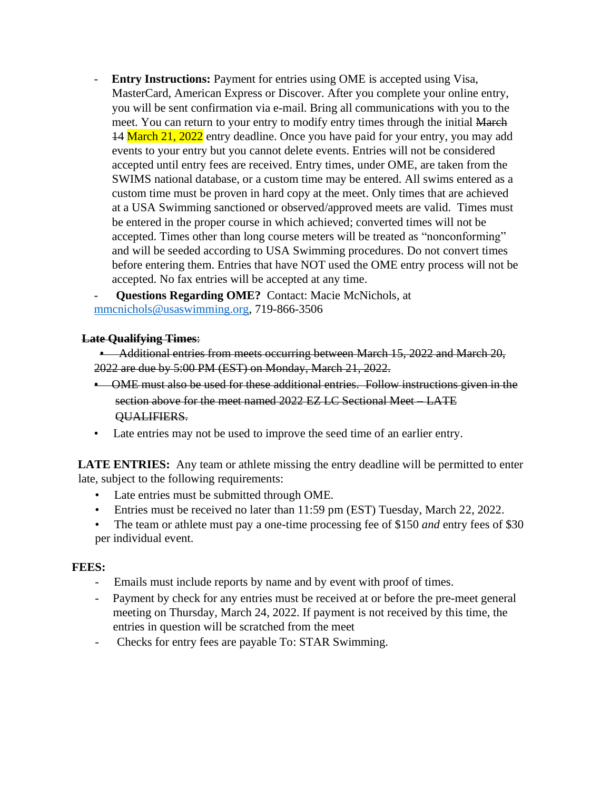- **Entry Instructions:** Payment for entries using OME is accepted using Visa, MasterCard, American Express or Discover. After you complete your online entry, you will be sent confirmation via e-mail. Bring all communications with you to the meet. You can return to your entry to modify entry times through the initial March 14 March 21, 2022 entry deadline. Once you have paid for your entry, you may add events to your entry but you cannot delete events. Entries will not be considered accepted until entry fees are received. Entry times, under OME, are taken from the SWIMS national database, or a custom time may be entered. All swims entered as a custom time must be proven in hard copy at the meet. Only times that are achieved at a USA Swimming sanctioned or observed/approved meets are valid. Times must be entered in the proper course in which achieved; converted times will not be accepted. Times other than long course meters will be treated as "nonconforming" and will be seeded according to USA Swimming procedures. Do not convert times before entering them. Entries that have NOT used the OME entry process will not be accepted. No fax entries will be accepted at any time.

- **Questions Regarding OME?** Contact: Macie McNichols, at [mmcnichols@usaswimming.org,](mailto:mmcnichols@usaswimming.org) 719-866-3506

# **Late Qualifying Times**:

• Additional entries from meets occurring between March 15, 2022 and March 20, 2022 are due by 5:00 PM (EST) on Monday, March 21, 2022.

- OME must also be used for these additional entries. Follow instructions given in the section above for the meet named 2022 EZ LC Sectional Meet – LATE QUALIFIERS.
- Late entries may not be used to improve the seed time of an earlier entry.

**LATE ENTRIES:** Any team or athlete missing the entry deadline will be permitted to enter late, subject to the following requirements:

- Late entries must be submitted through OME.
- Entries must be received no later than 11:59 pm (EST) Tuesday, March 22, 2022.
- The team or athlete must pay a one-time processing fee of \$150 *and* entry fees of \$30 per individual event.

### **FEES:**

- Emails must include reports by name and by event with proof of times.
- Payment by check for any entries must be received at or before the pre-meet general meeting on Thursday, March 24, 2022. If payment is not received by this time, the entries in question will be scratched from the meet
- Checks for entry fees are payable To: STAR Swimming.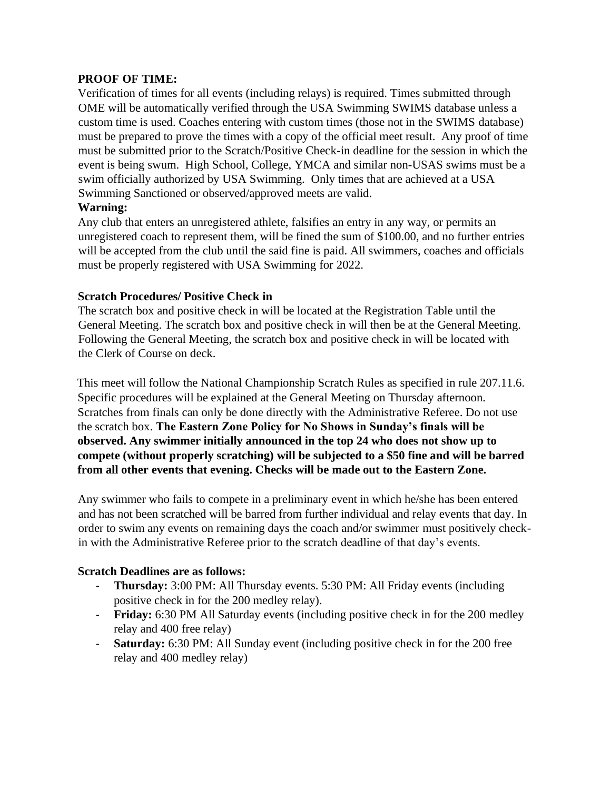# **PROOF OF TIME:**

Verification of times for all events (including relays) is required. Times submitted through OME will be automatically verified through the USA Swimming SWIMS database unless a custom time is used. Coaches entering with custom times (those not in the SWIMS database) must be prepared to prove the times with a copy of the official meet result. Any proof of time must be submitted prior to the Scratch/Positive Check-in deadline for the session in which the event is being swum. High School, College, YMCA and similar non-USAS swims must be a swim officially authorized by USA Swimming. Only times that are achieved at a USA Swimming Sanctioned or observed/approved meets are valid.

# **Warning:**

Any club that enters an unregistered athlete, falsifies an entry in any way, or permits an unregistered coach to represent them, will be fined the sum of \$100.00, and no further entries will be accepted from the club until the said fine is paid. All swimmers, coaches and officials must be properly registered with USA Swimming for 2022.

# **Scratch Procedures/ Positive Check in**

The scratch box and positive check in will be located at the Registration Table until the General Meeting. The scratch box and positive check in will then be at the General Meeting. Following the General Meeting, the scratch box and positive check in will be located with the Clerk of Course on deck.

This meet will follow the National Championship Scratch Rules as specified in rule 207.11.6. Specific procedures will be explained at the General Meeting on Thursday afternoon. Scratches from finals can only be done directly with the Administrative Referee. Do not use the scratch box. **The Eastern Zone Policy for No Shows in Sunday's finals will be observed. Any swimmer initially announced in the top 24 who does not show up to compete (without properly scratching) will be subjected to a \$50 fine and will be barred from all other events that evening. Checks will be made out to the Eastern Zone.**

Any swimmer who fails to compete in a preliminary event in which he/she has been entered and has not been scratched will be barred from further individual and relay events that day. In order to swim any events on remaining days the coach and/or swimmer must positively checkin with the Administrative Referee prior to the scratch deadline of that day's events.

# **Scratch Deadlines are as follows:**

- **Thursday:** 3:00 PM: All Thursday events. 5:30 PM: All Friday events (including positive check in for the 200 medley relay).
- **Friday:** 6:30 PM All Saturday events (including positive check in for the 200 medley relay and 400 free relay)
- **Saturday:** 6:30 PM: All Sunday event (including positive check in for the 200 free relay and 400 medley relay)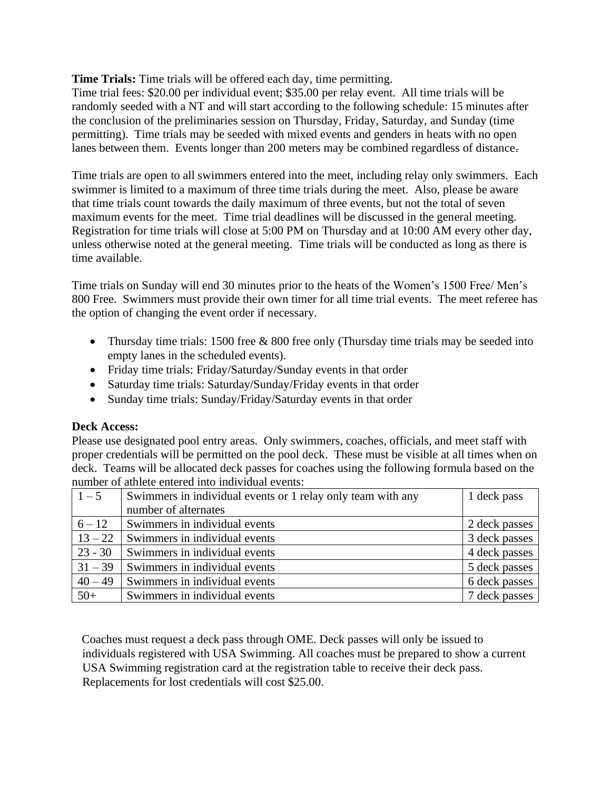**Time Trials:** Time trials will be offered each day, time permitting.

Time trial fees: \$20.00 per individual event; \$35.00 per relay event. All time trials will be randomly seeded with a NT and will start according to the following schedule: 15 minutes after the conclusion of the preliminaries session on Thursday, Friday, Saturday, and Sunday (time permitting). Time trials may be seeded with mixed events and genders in heats with no open lanes between them. Events longer than 200 meters may be combined regardless of distance.

Time trials are open to all swimmers entered into the meet, including relay only swimmers. Each swimmer is limited to a maximum of three time trials during the meet. Also, please be aware that time trials count towards the daily maximum of three events, but not the total of seven maximum events for the meet. Time trial deadlines will be discussed in the general meeting. Registration for time trials will close at 5:00 PM on Thursday and at 10:00 AM every other day, unless otherwise noted at the general meeting. Time trials will be conducted as long as there is time available.

Time trials on Sunday will end 30 minutes prior to the heats of the Women's 1500 Free/ Men's 800 Free. Swimmers must provide their own timer for all time trial events. The meet referee has the option of changing the event order if necessary.

- Thursday time trials: 1500 free  $& 800$  free only (Thursday time trials may be seeded into empty lanes in the scheduled events).
- Friday time trials: Friday/Saturday/Sunday events in that order
- Saturday time trials: Saturday/Sunday/Friday events in that order
- Sunday time trials: Sunday/Friday/Saturday events in that order

# **Deck Access:**

Please use designated pool entry areas. Only swimmers, coaches, officials, and meet staff with proper credentials will be permitted on the pool deck. These must be visible at all times when on deck. Teams will be allocated deck passes for coaches using the following formula based on the number of athlete entered into individual events:

| $1 - 5$   | Swimmers in individual events or 1 relay only team with any | 1 deck pass   |
|-----------|-------------------------------------------------------------|---------------|
|           | number of alternates                                        |               |
| $6 - 12$  | Swimmers in individual events                               | 2 deck passes |
| $13 - 22$ | Swimmers in individual events                               | 3 deck passes |
| $23 - 30$ | Swimmers in individual events                               | 4 deck passes |
| $31 - 39$ | Swimmers in individual events                               | 5 deck passes |
| $40 - 49$ | Swimmers in individual events                               | 6 deck passes |
| $50+$     | Swimmers in individual events                               | 7 deck passes |

Coaches must request a deck pass through OME. Deck passes will only be issued to individuals registered with USA Swimming. All coaches must be prepared to show a current USA Swimming registration card at the registration table to receive their deck pass. Replacements for lost credentials will cost \$25.00.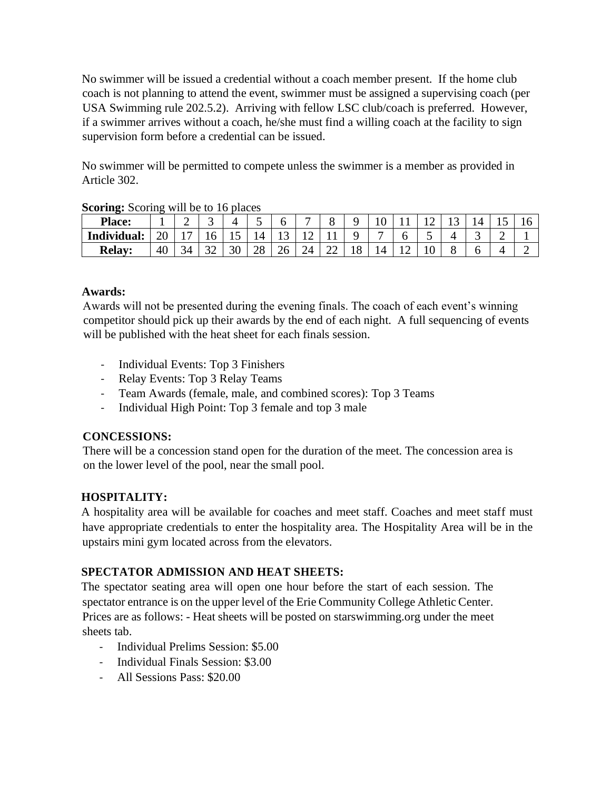No swimmer will be issued a credential without a coach member present. If the home club coach is not planning to attend the event, swimmer must be assigned a supervising coach (per USA Swimming rule 202.5.2). Arriving with fellow LSC club/coach is preferred. However, if a swimmer arrives without a coach, he/she must find a willing coach at the facility to sign supervision form before a credential can be issued.

No swimmer will be permitted to compete unless the swimmer is a member as provided in Article 302.

| $\sigma$ because $\sigma$ and $\sigma$ $\sigma$ are $\sigma$ and $\sigma$ |    |    |   |    |    |    |           |    |    |   |   |       |  |  |
|---------------------------------------------------------------------------|----|----|---|----|----|----|-----------|----|----|---|---|-------|--|--|
| <b>Place:</b>                                                             |    | ∼  | ັ | 4  | ັ  |    | −         |    |    |   |   | . . J |  |  |
| Individual:                                                               | ∠∪ |    |   | ∸  |    | ⊥ື |           |    |    |   | ັ |       |  |  |
| <b>Relay:</b>                                                             | 40 | 34 |   | 30 | 28 | 26 | 74<br>– ⊢ | ∠∠ | `ბ | 4 |   |       |  |  |

**Scoring:** Scoring will be to 16 places

# **Awards:**

Awards will not be presented during the evening finals. The coach of each event's winning competitor should pick up their awards by the end of each night. A full sequencing of events will be published with the heat sheet for each finals session.

- Individual Events: Top 3 Finishers
- Relay Events: Top 3 Relay Teams
- Team Awards (female, male, and combined scores): Top 3 Teams
- Individual High Point: Top 3 female and top 3 male

# **CONCESSIONS:**

There will be a concession stand open for the duration of the meet. The concession area is on the lower level of the pool, near the small pool.

# **HOSPITALITY:**

A hospitality area will be available for coaches and meet staff. Coaches and meet staff must have appropriate credentials to enter the hospitality area. The Hospitality Area will be in the upstairs mini gym located across from the elevators.

# **SPECTATOR ADMISSION AND HEAT SHEETS:**

The spectator seating area will open one hour before the start of each session. The spectator entrance is on the upper level of the Erie Community College Athletic Center. Prices are as follows: - Heat sheets will be posted on starswimming.org under the meet sheets tab.

- Individual Prelims Session: \$5.00
- Individual Finals Session: \$3.00
- All Sessions Pass: \$20.00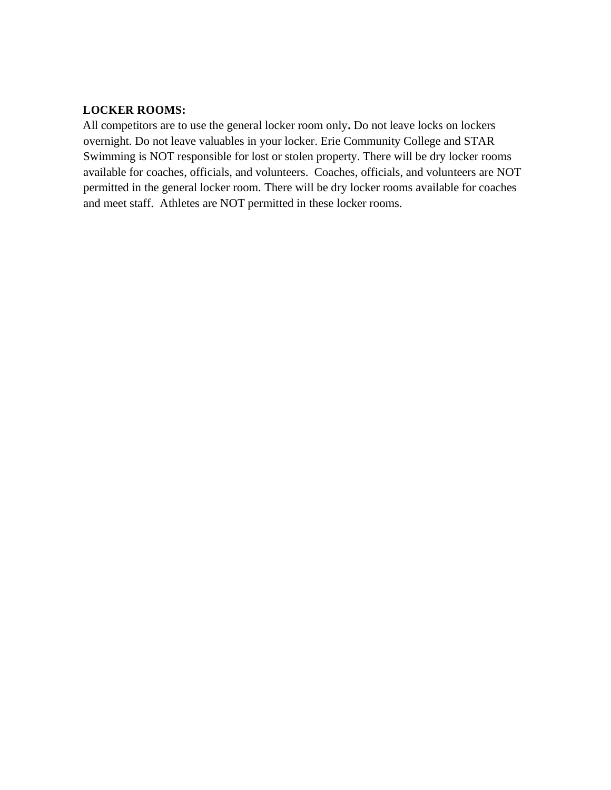# **LOCKER ROOMS:**

All competitors are to use the general locker room only**.** Do not leave locks on lockers overnight. Do not leave valuables in your locker. Erie Community College and STAR Swimming is NOT responsible for lost or stolen property. There will be dry locker rooms available for coaches, officials, and volunteers. Coaches, officials, and volunteers are NOT permitted in the general locker room. There will be dry locker rooms available for coaches and meet staff. Athletes are NOT permitted in these locker rooms.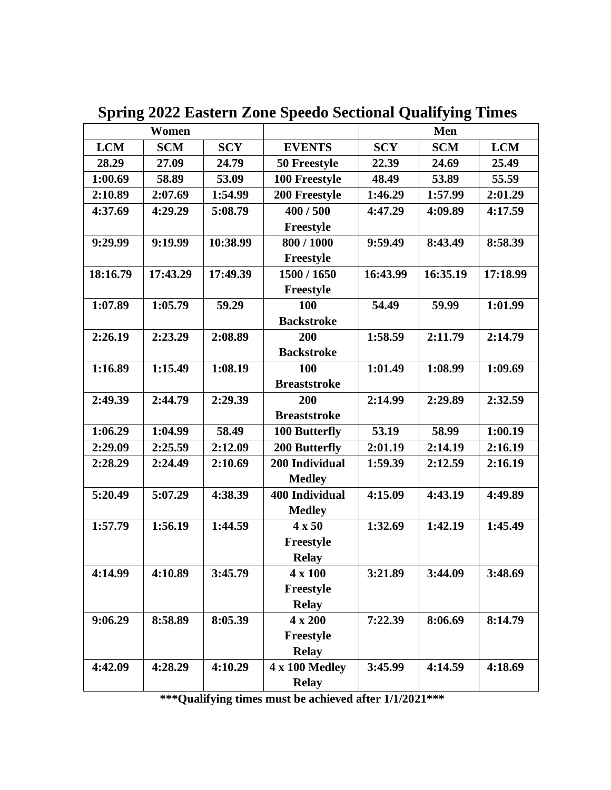|            | Women      |            |                       | <b>Men</b>         |            |            |
|------------|------------|------------|-----------------------|--------------------|------------|------------|
| <b>LCM</b> | <b>SCM</b> | <b>SCY</b> | <b>EVENTS</b>         | <b>SCY</b>         | <b>SCM</b> | <b>LCM</b> |
| 28.29      | 27.09      | 24.79      | 50 Freestyle          | 22.39              | 24.69      | 25.49      |
| 1:00.69    | 58.89      | 53.09      | 100 Freestyle         | 48.49              | 53.89      | 55.59      |
| 2:10.89    | 2:07.69    | 1:54.99    | 200 Freestyle         | 1:46.29            | 1:57.99    | 2:01.29    |
| 4:37.69    | 4:29.29    | 5:08.79    | 400 / 500             | 4:47.29            | 4:09.89    | 4:17.59    |
|            |            |            | Freestyle             |                    |            |            |
| 9:29.99    | 9:19.99    | 10:38.99   | 800 / 1000            | 9:59.49            | 8:43.49    | 8:58.39    |
|            |            |            | Freestyle             |                    |            |            |
| 18:16.79   | 17:43.29   | 17:49.39   | 1500 / 1650           | 16:43.99           | 16:35.19   | 17:18.99   |
|            |            |            | Freestyle             |                    |            |            |
| 1:07.89    | 1:05.79    | 59.29      | 100                   | 54.49              | 59.99      | 1:01.99    |
|            |            |            | <b>Backstroke</b>     |                    |            |            |
| 2:26.19    | 2:23.29    | 2:08.89    | 200                   | 1:58.59            | 2:11.79    | 2:14.79    |
|            |            |            | <b>Backstroke</b>     |                    |            |            |
| 1:16.89    | 1:15.49    | 1:08.19    | 100                   | 1:01.49            | 1:08.99    | 1:09.69    |
|            |            |            | <b>Breaststroke</b>   |                    |            |            |
| 2:49.39    | 2:44.79    | 2:29.39    | 200                   | 2:14.99            | 2:29.89    | 2:32.59    |
|            |            |            | <b>Breaststroke</b>   |                    |            |            |
| 1:06.29    | 1:04.99    | 58.49      | 100 Butterfly         | 53.19              | 58.99      | 1:00.19    |
| 2:29.09    | 2:25.59    | 2:12.09    | 200 Butterfly         | 2:01.19            | 2:14.19    | 2:16.19    |
| 2:28.29    | 2:24.49    | 2:10.69    | 200 Individual        | 1:59.39<br>2:12.59 |            | 2:16.19    |
|            |            |            | <b>Medley</b>         |                    |            |            |
| 5:20.49    | 5:07.29    | 4:38.39    | <b>400 Individual</b> | 4:15.09            | 4:43.19    | 4:49.89    |
|            |            |            | <b>Medley</b>         |                    |            |            |
| 1:57.79    | 1:56.19    | 1:44.59    | $4 \times 50$         | 1:32.69            | 1:42.19    | 1:45.49    |
|            |            |            | Freestyle             |                    |            |            |
|            |            |            | <b>Relay</b>          |                    |            |            |
| 4:14.99    | 4:10.89    | 3:45.79    | $4 \times 100$        | 3:21.89            | 3:44.09    | 3:48.69    |
|            |            |            | Freestyle             |                    |            |            |
|            |            |            | <b>Relay</b>          |                    |            |            |
| 9:06.29    | 8:58.89    | 8:05.39    | 4 x 200               | 7:22.39            | 8:06.69    | 8:14.79    |
|            |            |            | Freestyle             |                    |            |            |
|            |            |            | <b>Relay</b>          |                    |            |            |
| 4:42.09    | 4:28.29    | 4:10.29    | 4 x 100 Medley        | 3:45.99            | 4:14.59    | 4:18.69    |
|            |            |            | <b>Relay</b>          |                    |            |            |

**Spring 2022 Eastern Zone Speedo Sectional Qualifying Times**

**\*\*\*Qualifying times must be achieved after 1/1/2021\*\*\***